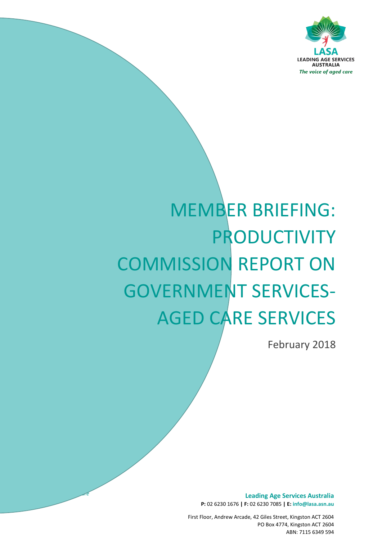

# MEMBER BRIEFING: PRODUCTIVITY COMMISSION REPORT ON GOVERNMENT SERVICES-AGED CARE SERVICES

February 2018

**Leading Age Services Australia P:** 02 6230 1676 **| F:** 02 6230 7085 **| E: info@lasa.asn.au**

First Floor, Andrew Arcade, 42 Giles Street, Kingston ACT 2604 PO Box 4774, Kingston ACT 2604 ABN: 7115 6349 594

*The voice of aged care*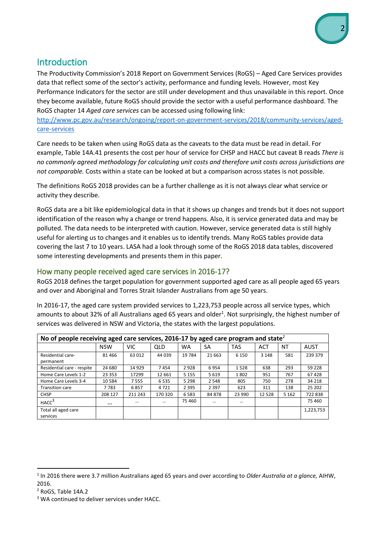## Introduction

The Productivity Commission's 2018 Report on Government Services (RoGS) – Aged Care Services provides data that reflect some of the sector's activity, performance and funding levels. However, most Key Performance Indicators for the sector are still under development and thus unavailable in this report. Once they become available, future RoGS should provide the sector with a useful performance dashboard. The RoGS chapter 14 *Aged care services* can be accessed using following link:

[http://www.pc.gov.au/research/ongoing/report-on-government-services/2018/community-services/aged](http://www.pc.gov.au/research/ongoing/report-on-government-services/2018/community-services/aged-care-services)[care-services](http://www.pc.gov.au/research/ongoing/report-on-government-services/2018/community-services/aged-care-services)

Care needs to be taken when using RoGS data as the caveats to the data must be read in detail. For example, Table 14A.41 presents the cost per hour of service for CHSP and HACC but caveat B reads *There is no commonly agreed methodology for calculating unit costs and therefore unit costs across jurisdictions are not comparable.* Costs within a state can be looked at but a comparison across states is not possible.

The definitions RoGS 2018 provides can be a further challenge as it is not always clear what service or activity they describe.

RoGS data are a bit like epidemiological data in that it shows up changes and trends but it does not support identification of the reason why a change or trend happens. Also, it is service generated data and may be polluted. The data needs to be interpreted with caution. However, service generated data is still highly useful for alerting us to changes and it enables us to identify trends. Many RoGS tables provide data covering the last 7 to 10 years. LASA had a look through some of the RoGS 2018 data tables, discovered some interesting developments and presents them in this paper.

#### How many people received aged care services in 2016-17?

RoGS 2018 defines the target population for government supported aged care as all people aged 65 years and over and Aboriginal and Torres Strait Islander Australians from age 50 years.

In 2016-17, the aged care system provided services to 1,223,753 people across all service types, which amounts to about 32% of all Australians aged 65 years and older<sup>1</sup>. Not surprisingly, the highest number of services was delivered in NSW and Victoria, the states with the largest populations.

| No of people receiving aged care services, 2016-17 by aged care program and state <sup>2</sup> |            |          |            |           |           |            |            |         |             |
|------------------------------------------------------------------------------------------------|------------|----------|------------|-----------|-----------|------------|------------|---------|-------------|
|                                                                                                | <b>NSW</b> | VIC      | <b>QLD</b> | <b>WA</b> | <b>SA</b> | <b>TAS</b> | <b>ACT</b> | NT      | <b>AUST</b> |
| Residential care-<br>permanent                                                                 | 81 466     | 63 012   | 44 039     | 19784     | 21 6 63   | 6 1 5 0    | 3 1 4 8    | 581     | 239 379     |
| Residential care - respite                                                                     | 24 680     | 14 9 29  | 7454       | 2928      | 6954      | 1528       | 638        | 293     | 59 2 28     |
| Home Care Levels 1-2                                                                           | 23 3 5 3   | 17299    | 12 661     | 5 1 5 5   | 5 6 1 9   | 1802       | 951        | 767     | 67428       |
| Home Care Levels 3-4                                                                           | 10 5 84    | 7555     | 6535       | 5 2 9 8   | 2 5 4 8   | 805        | 750        | 278     | 34 218      |
| <b>Transition care</b>                                                                         | 7783       | 6857     | 4721       | 2 3 9 5   | 2 3 9 7   | 623        | 311        | 138     | 25 202      |
| <b>CHSP</b>                                                                                    | 208 127    | 211 243  | 170 320    | 6583      | 84 878    | 23 990     | 12 5 28    | 5 1 6 2 | 722838      |
| HACC <sup>3</sup>                                                                              |            | $\cdots$ | $\cdots$   | 75 460    | $\cdots$  | $\cdots$   |            |         | 75 460      |
| Total all aged care<br>services                                                                |            |          |            |           |           |            |            |         | 1,223,753   |

 $\overline{a}$ 

<sup>1</sup> In 2016 there were 3.7 million Australians aged 65 years and over according to *Older Australia at a glance,* AIHW, 2016.

<sup>2</sup> RoGS, Table 14A.2

<sup>&</sup>lt;sup>3</sup> WA continued to deliver services under HACC.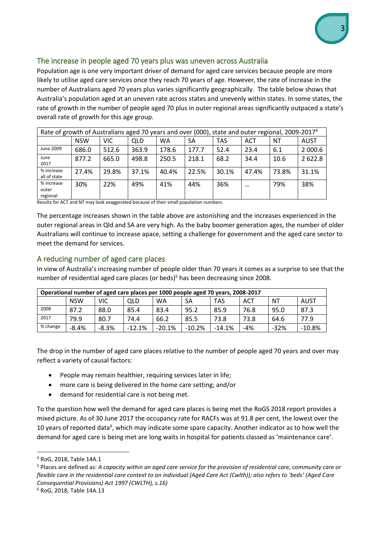

#### The increase in people aged 70 years plus was uneven across Australia

Population age is one very important driver of demand for aged care services because people are more likely to utilise aged care services once they reach 70 years of age. However, the rate of increase in the number of Australians aged 70 years plus varies significantly geographically. The table below shows that Australia's population aged at an uneven rate across states and unevenly within states. In some states, the rate of growth in the number of people aged 70 plus in outer regional areas significantly outpaced a state's overall rate of growth for this age group.

| Rate of growth of Australians aged 70 years and over (000), state and outer regional, 2009-2017 <sup>4</sup> |            |       |       |       |       |       |            |       |             |
|--------------------------------------------------------------------------------------------------------------|------------|-------|-------|-------|-------|-------|------------|-------|-------------|
|                                                                                                              | <b>NSW</b> | VIC   | QLD   | WA    | SА    | TAS   | <b>ACT</b> | ΝT    | <b>AUST</b> |
| June 2009                                                                                                    | 686.0      | 512.6 | 363.9 | 178.6 | 177.7 | 52.4  | 23.4       | 6.1   | 2 000.6     |
| June<br>2017                                                                                                 | 877.2      | 665.0 | 498.8 | 250.5 | 218.1 | 68.2  | 34.4       | 10.6  | 2 622.8     |
| % increase<br>all of state                                                                                   | 27.4%      | 29.8% | 37.1% | 40.4% | 22.5% | 30.1% | 47.4%      | 73.8% | 31.1%       |
| % increase<br>outer<br>regional                                                                              | 30%        | 22%   | 49%   | 41%   | 44%   | 36%   | $\cdots$   | 79%   | 38%         |

Results for ACT and NT may look exaggerated because of their small population numbers.

The percentage increases shown in the table above are astonishing and the increases experienced in the outer regional areas in Qld and SA are very high. As the baby boomer generation ages, the number of older Australians will continue to increase apace, setting a challenge for government and the aged care sector to meet the demand for services.

#### A reducing number of aged care places

In view of Australia's increasing number of people older than 70 years it comes as a surprise to see that the number of residential aged care places (or beds)<sup>5</sup> has been decreasing since 2008.

| Operational number of aged care places per 1000 people aged 70 years, 2008-2017 |            |            |            |          |          |          |       |        |          |
|---------------------------------------------------------------------------------|------------|------------|------------|----------|----------|----------|-------|--------|----------|
|                                                                                 | <b>NSW</b> | <b>VIC</b> | <b>QLD</b> | WA       | SA       | TAS      | ACT   | ΝT     | AUST     |
| 2008                                                                            | 87.2       | 88.0       | 85.4       | 83.4     | 95.2     | 85.9     | 76.8  | 95.0   | 87.3     |
| 2017                                                                            | 79.9       | 80.7       | 74.4       | 66.2     | 85.5     | 73.8     | 73.8  | 64.6   | 77.9     |
| % change                                                                        | $-8.4%$    | $-8.3%$    | $-12.1%$   | $-20.1%$ | $-10.2%$ | $-14.1%$ | $-4%$ | $-32%$ | $-10.8%$ |

The drop in the number of aged care places relative to the number of people aged 70 years and over may reflect a variety of causal factors:

- People may remain healthier, requiring services later in life;
- more care is being delivered in the home care setting; and/or
- demand for residential care is not being met.

To the question how well the demand for aged care places is being met the RoGS 2018 report provides a mixed picture. As of 30 June 2017 the occupancy rate for RACFs was at 91.8 per cent, the lowest over the 10 years of reported data<sup>6</sup>, which may indicate some spare capacity. Another indicator as to how well the demand for aged care is being met are long waits in hospital for patients classed as 'maintenance care'.

 $\ddot{\phantom{a}}$ 

<sup>4</sup> RoG, 2018, Table 14A.1

<sup>5</sup> Places are defined as: *A capacity within an aged care service for the provision of residential care, community care or flexible care in the residential care context to an individual (Aged Care Act (Cwlth)); also refers to 'beds' (Aged Care Consequential Provisions) Act 1997 (CWLTH), s.16)*

<sup>6</sup> RoG, 2018, Table 14A.13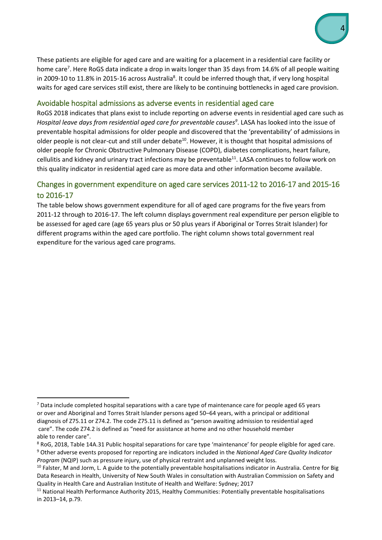These patients are eligible for aged care and are waiting for a placement in a residential care facility or home care<sup>7</sup>. Here RoGS data indicate a drop in waits longer than 35 days from 14.6% of all people waiting in 2009-10 to 11.8% in 2015-16 across Australia<sup>8</sup>. It could be inferred though that, if very long hospital waits for aged care services still exist, there are likely to be continuing bottlenecks in aged care provision.

#### Avoidable hospital admissions as adverse events in residential aged care

RoGS 2018 indicates that plans exist to include reporting on adverse events in residential aged care such as *Hospital leave days from residential aged care for preventable causes<sup>9</sup>* . LASA has looked into the issue of preventable hospital admissions for older people and discovered that the 'preventability' of admissions in older people is not clear-cut and still under debate<sup>10</sup>. However, it is thought that hospital admissions of older people for Chronic Obstructive Pulmonary Disease (COPD), diabetes complications, heart failure, cellulitis and kidney and urinary tract infections may be preventable<sup>11</sup>. LASA continues to follow work on this quality indicator in residential aged care as more data and other information become available.

### Changes in government expenditure on aged care services 2011-12 to 2016-17 and 2015-16 to 2016-17

The table below shows government expenditure for all of aged care programs for the five years from 2011-12 through to 2016-17. The left column displays government real expenditure per person eligible to be assessed for aged care (age 65 years plus or 50 plus years if Aboriginal or Torres Strait Islander) for different programs within the aged care portfolio. The right column shows total government real expenditure for the various aged care programs.

 $\overline{a}$ 

 $<sup>7</sup>$  Data include completed hospital separations with a care type of maintenance care for people aged 65 years</sup> or over and Aboriginal and Torres Strait Islander persons aged 50–64 years, with a principal or additional diagnosis of Z75.11 or Z74.2. The code Z75.11 is defined as "person awaiting admission to residential aged care". The code Z74.2 is defined as "need for assistance at home and no other household member able to render care".

 $8$  RoG, 2018, Table 14A.31 Public hospital separations for care type 'maintenance' for people eligible for aged care. <sup>9</sup> Other adverse events proposed for reporting are indicators included in the *National Aged Care Quality Indicator Program* (NQIP) such as pressure injury, use of physical restraint and unplanned weight loss.

 $10$  Falster, M and Jorm, L. A guide to the potentially preventable hospitalisations indicator in Australia. Centre for Big Data Research in Health, University of New South Wales in consultation with Australian Commission on Safety and Quality in Health Care and Australian Institute of Health and Welfare: Sydney; 2017

<sup>&</sup>lt;sup>11</sup> National Health Performance Authority 2015, Healthy Communities: Potentially preventable hospitalisations in 2013–14, p.79.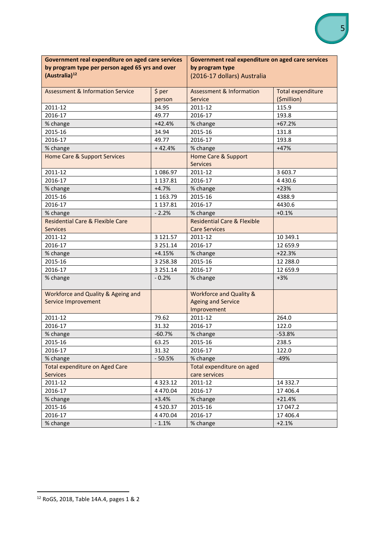| Government real expenditure on aged care services |               | Government real expenditure on aged care services |                          |  |  |  |
|---------------------------------------------------|---------------|---------------------------------------------------|--------------------------|--|--|--|
| by program type per person aged 65 yrs and over   |               | by program type                                   |                          |  |  |  |
| (Australia) <sup>12</sup>                         |               | (2016-17 dollars) Australia                       |                          |  |  |  |
|                                                   |               |                                                   |                          |  |  |  |
| <b>Assessment &amp; Information Service</b>       | \$ per        | <b>Assessment &amp; Information</b>               | <b>Total expenditure</b> |  |  |  |
|                                                   | person        | Service                                           | (\$million)              |  |  |  |
| 2011-12                                           | 34.95         | 2011-12                                           | 115.9                    |  |  |  |
| 2016-17                                           | 49.77         | 2016-17                                           | 193.8                    |  |  |  |
| % change                                          | $+42.4%$      | % change                                          | $+67.2%$                 |  |  |  |
| 2015-16                                           | 34.94         | 2015-16                                           | 131.8                    |  |  |  |
| 2016-17                                           | 49.77         | 2016-17                                           | 193.8                    |  |  |  |
| % change                                          | $+42.4%$      | % change                                          | $+47%$                   |  |  |  |
| <b>Home Care &amp; Support Services</b>           |               | <b>Home Care &amp; Support</b>                    |                          |  |  |  |
|                                                   |               | <b>Services</b>                                   |                          |  |  |  |
| 2011-12                                           | 1 086.97      | 2011-12                                           | 3 603.7                  |  |  |  |
| 2016-17                                           | 1 137.81      | 2016-17                                           | 4 4 3 0.6                |  |  |  |
| % change                                          | $+4.7%$       | % change                                          | $+23%$                   |  |  |  |
| 2015-16                                           | 1 163.79      | 2015-16                                           | 4388.9                   |  |  |  |
| 2016-17                                           | 1 137.81      | 2016-17                                           | 4430.6                   |  |  |  |
| % change                                          | $-2.2%$       | % change                                          | $+0.1%$                  |  |  |  |
| <b>Residential Care &amp; Flexible Care</b>       |               | <b>Residential Care &amp; Flexible</b>            |                          |  |  |  |
| <b>Services</b>                                   |               | <b>Care Services</b>                              |                          |  |  |  |
| 2011-12                                           | 3 121.57      | 2011-12                                           | 10 349.1                 |  |  |  |
| 2016-17                                           | 3 2 5 1 . 1 4 | 2016-17                                           | 12 659.9                 |  |  |  |
| % change                                          | $+4.15%$      | % change                                          | $+22.3%$                 |  |  |  |
| 2015-16                                           | 3 258.38      | 2015-16                                           | 12 288.0                 |  |  |  |
| 2016-17                                           | 3 251.14      | 2016-17                                           | 12 659.9                 |  |  |  |
| % change                                          | $-0.2%$       | % change                                          | $+3%$                    |  |  |  |
|                                                   |               |                                                   |                          |  |  |  |
| Workforce and Quality & Ageing and                |               | <b>Workforce and Quality &amp;</b>                |                          |  |  |  |
| Service Improvement                               |               | <b>Ageing and Service</b>                         |                          |  |  |  |
|                                                   |               | Improvement                                       |                          |  |  |  |
| 2011-12                                           | 79.62         | 2011-12                                           | 264.0                    |  |  |  |
| 2016-17                                           | 31.32         | 2016-17                                           | 122.0                    |  |  |  |
| % change                                          | $-60.7%$      | % change                                          | $-53.8%$                 |  |  |  |
| 2015-16                                           | 63.25         | 2015-16                                           | 238.5                    |  |  |  |
| 2016-17                                           | 31.32         | 2016-17                                           | 122.0                    |  |  |  |
| % change                                          | $-50.5%$      | % change                                          | $-49%$                   |  |  |  |
| <b>Total expenditure on Aged Care</b>             |               | Total expenditure on aged                         |                          |  |  |  |
| Services                                          |               | care services                                     |                          |  |  |  |
| 2011-12                                           | 4 3 2 3 . 1 2 | 2011-12                                           | 14 3 3 2.7               |  |  |  |
| 2016-17                                           | 4 470.04      | 2016-17                                           | 17 406.4                 |  |  |  |
| % change                                          | $+3.4%$       | % change                                          | $+21.4%$                 |  |  |  |
| 2015-16                                           | 4 5 20.37     | 2015-16                                           | 17 047.2                 |  |  |  |
| 2016-17                                           | 4 470.04      | 2016-17                                           | 17 406.4                 |  |  |  |
| % change                                          | $-1.1%$       | % change                                          | $+2.1%$                  |  |  |  |

 $\overline{a}$ 

<sup>12</sup> RoGS, 2018, Table 14A.4, pages 1 & 2